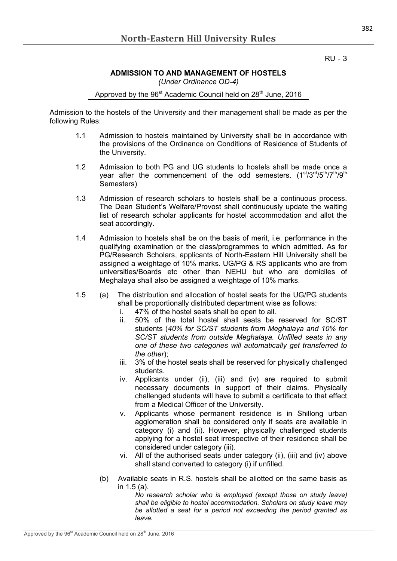RU - 3

## **ADMISSION TO AND MANAGEMENT OF HOSTELS** *(Under Ordinance OD-4)*

Approved by the 96<sup>st</sup> Academic Council held on 28<sup>th</sup> June, 2016

Admission to the hostels of the University and their management shall be made as per the following Rules:

- 1.1 Admission to hostels maintained by University shall be in accordance with the provisions of the Ordinance on Conditions of Residence of Students of the University.
- 1.2 Admission to both PG and UG students to hostels shall be made once a year after the commencement of the odd semesters.  $(1<sup>st</sup>/3<sup>rd</sup>/5<sup>th</sup>/7<sup>th</sup>/9<sup>th</sup>)$ Semesters)
- 1.3 Admission of research scholars to hostels shall be a continuous process. The Dean Student's Welfare/Provost shall continuously update the waiting list of research scholar applicants for hostel accommodation and allot the seat accordingly.
- 1.4 Admission to hostels shall be on the basis of merit, i.e. performance in the qualifying examination or the class/programmes to which admitted. As for PG/Research Scholars, applicants of North-Eastern Hill University shall be assigned a weightage of 10% marks. UG/PG & RS applicants who are from universities/Boards etc other than NEHU but who are domiciles of Meghalaya shall also be assigned a weightage of 10% marks.
- 1.5 (a) The distribution and allocation of hostel seats for the UG/PG students shall be proportionally distributed department wise as follows:
	- i. 47% of the hostel seats shall be open to all.
	- ii. 50% of the total hostel shall seats be reserved for SC/ST students (*40% for SC/ST students from Meghalaya and 10% for SC/ST students from outside Meghalaya. Unfilled seats in any one of these two categories will automatically get transferred to the other*);
	- iii. 3% of the hostel seats shall be reserved for physically challenged students.
	- iv. Applicants under (ii), (iii) and (iv) are required to submit necessary documents in support of their claims. Physically challenged students will have to submit a certificate to that effect from a Medical Officer of the University.
	- v. Applicants whose permanent residence is in Shillong urban agglomeration shall be considered only if seats are available in category (i) and (ii). However, physically challenged students applying for a hostel seat irrespective of their residence shall be considered under category (iii).
	- vi. All of the authorised seats under category (ii), (iii) and (iv) above shall stand converted to category (i) if unfilled.
	- (b) Available seats in R.S. hostels shall be allotted on the same basis as in 1.5 (a).

*No research scholar who is employed (except those on study leave) shall be eligible to hostel accommodation. Scholars on study leave may be allotted a seat for a period not exceeding the period granted as leave.*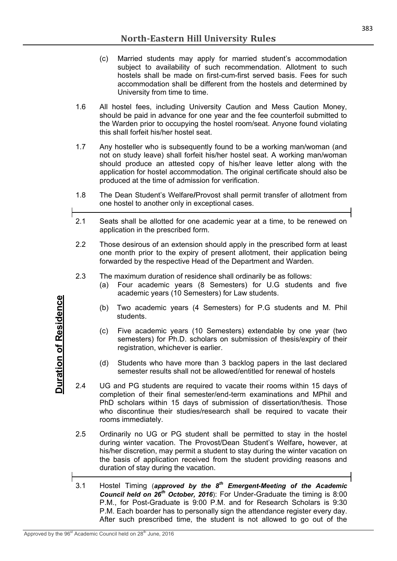- (c) Married students may apply for married student's accommodation subject to availability of such recommendation. Allotment to such hostels shall be made on first-cum-first served basis. Fees for such accommodation shall be different from the hostels and determined by University from time to time.
- 1.6 All hostel fees, including University Caution and Mess Caution Money, should be paid in advance for one year and the fee counterfoil submitted to the Warden prior to occupying the hostel room/seat. Anyone found violating this shall forfeit his/her hostel seat.
- 1.7 Any hosteller who is subsequently found to be a working man/woman (and not on study leave) shall forfeit his/her hostel seat. A working man/woman should produce an attested copy of his/her leave letter along with the application for hostel accommodation. The original certificate should also be produced at the time of admission for verification.
- 1.8 The Dean Student's Welfare**/**Provost shall permit transfer of allotment from one hostel to another only in exceptional cases.
- 2.1 Seats shall be allotted for one academic year at a time, to be renewed on application in the prescribed form.
- 2.2 Those desirous of an extension should apply in the prescribed form at least one month prior to the expiry of present allotment, their application being forwarded by the respective Head of the Department and Warden.
- 2.3 The maximum duration of residence shall ordinarily be as follows:
	- (a) Four academic years (8 Semesters) for U.G students and five academic years (10 Semesters) for Law students.
	- (b) Two academic years (4 Semesters) for P.G students and M. Phil students.
	- (c) Five academic years (10 Semesters) extendable by one year (two semesters) for Ph.D. scholars on submission of thesis/expiry of their registration, whichever is earlier.
	- (d) Students who have more than 3 backlog papers in the last declared semester results shall not be allowed/entitled for renewal of hostels
- 2.4 UG and PG students are required to vacate their rooms within 15 days of completion of their final semester/end-term examinations and MPhil and PhD scholars within 15 days of submission of dissertation/thesis. Those who discontinue their studies/research shall be required to vacate their rooms immediately.
- 2.5 Ordinarily no UG or PG student shall be permitted to stay in the hostel during winter vacation. The Provost/Dean Student's Welfare**,** however, at his/her discretion, may permit a student to stay during the winter vacation on the basis of application received from the student providing reasons and duration of stay during the vacation.
- 3.1 Hostel Timing (*approved by the 8 th Emergent-Meeting of the Academic Council held on 26th October, 2016*): For Under-Graduate the timing is 8:00 P.M., for Post-Graduate is 9:00 P.M. and for Research Scholars is 9:30 P.M. Each boarder has to personally sign the attendance register every day. After such prescribed time, the student is not allowed to go out of the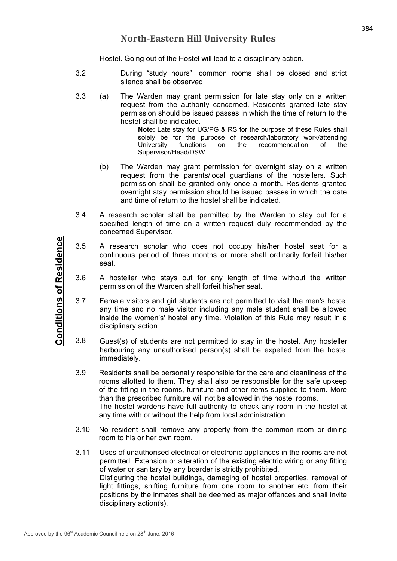Hostel. Going out of the Hostel will lead to a disciplinary action.

- 3.2 During "study hours", common rooms shall be closed and strict silence shall be observed.
- 3.3 (a) The Warden may grant permission for late stay only on a written request from the authority concerned. Residents granted late stay permission should be issued passes in which the time of return to the hostel shall be indicated.

**Note:** Late stay for UG/PG & RS for the purpose of these Rules shall solely be for the purpose of research/laboratory work/attending University functions on the recommendation of the Supervisor/Head/DSW.

- (b) The Warden may grant permission for overnight stay on a written request from the parents/local guardians of the hostellers. Such permission shall be granted only once a month. Residents granted overnight stay permission should be issued passes in which the date and time of return to the hostel shall be indicated.
- 3.4 A research scholar shall be permitted by the Warden to stay out for a specified length of time on a written request duly recommended by the concerned Supervisor.
- 3.5 A research scholar who does not occupy his/her hostel seat for a continuous period of three months or more shall ordinarily forfeit his/her seat.
- 3.6 A hosteller who stays out for any length of time without the written permission of the Warden shall forfeit his/her seat.
- 3.7 Female visitors and girl students are not permitted to visit the men's hostel any time and no male visitor including any male student shall be allowed inside the women's' hostel any time. Violation of this Rule may result in a disciplinary action.
- 3.8 Guest(s) of students are not permitted to stay in the hostel. Any hosteller harbouring any unauthorised person(s) shall be expelled from the hostel immediately.
- 3.9 Residents shall be personally responsible for the care and cleanliness of the rooms allotted to them. They shall also be responsible for the safe upkeep of the fitting in the rooms, furniture and other items supplied to them. More than the prescribed furniture will not be allowed in the hostel rooms. The hostel wardens have full authority to check any room in the hostel at any time with or without the help from local administration.
- 3.10 No resident shall remove any property from the common room or dining room to his or her own room.
- 3.11 Uses of unauthorised electrical or electronic appliances in the rooms are not permitted. Extension or alteration of the existing electric wiring or any fitting of water or sanitary by any boarder is strictly prohibited. Disfiguring the hostel buildings, damaging of hostel properties, removal of light fittings, shifting furniture from one room to another etc. from their positions by the inmates shall be deemed as major offences and shall invite disciplinary action(s).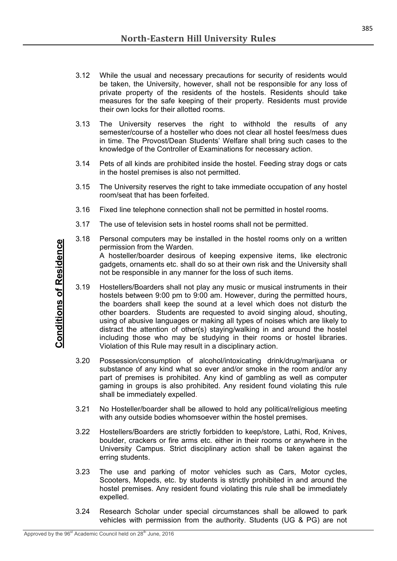- 3.12 While the usual and necessary precautions for security of residents would be taken, the University, however, shall not be responsible for any loss of private property of the residents of the hostels. Residents should take measures for the safe keeping of their property. Residents must provide their own locks for their allotted rooms.
- 3.13 The University reserves the right to withhold the results of any semester/course of a hosteller who does not clear all hostel fees/mess dues in time. The Provost/Dean Students' Welfare shall bring such cases to the knowledge of the Controller of Examinations for necessary action.
- 3.14 Pets of all kinds are prohibited inside the hostel. Feeding stray dogs or cats in the hostel premises is also not permitted.
- 3.15 The University reserves the right to take immediate occupation of any hostel room/seat that has been forfeited.
- 3.16 Fixed line telephone connection shall not be permitted in hostel rooms.
- 3.17 The use of television sets in hostel rooms shall not be permitted.
- 3.18 Personal computers may be installed in the hostel rooms only on a written permission from the Warden.

A hosteller/boarder desirous of keeping expensive items, like electronic gadgets, ornaments etc. shall do so at their own risk and the University shall not be responsible in any manner for the loss of such items.

- Later the Societies of Academic Council held on 28<sup>th</sup> Academic Council held on 28<sup>th</sup> Academic Council held on 28<sup>th</sup> Academic Council held on 28<sup>th</sup> Academic Council held on 28<sup>th</sup> Academic Council held on 28<sup>th</sup> Academ 3.19 Hostellers/Boarders shall not play any music or musical instruments in their hostels between 9:00 pm to 9:00 am. However, during the permitted hours, the boarders shall keep the sound at a level which does not disturb the other boarders. Students are requested to avoid singing aloud, shouting, using of abusive languages or making all types of noises which are likely to distract the attention of other(s) staying/walking in and around the hostel including those who may be studying in their rooms or hostel libraries. Violation of this Rule may result in a disciplinary action.
	- 3.20 Possession/consumption of alcohol/intoxicating drink/drug/marijuana or substance of any kind what so ever and/or smoke in the room and/or any part of premises is prohibited. Any kind of gambling as well as computer gaming in groups is also prohibited. Any resident found violating this rule shall be immediately expelled.
	- 3.21 No Hosteller/boarder shall be allowed to hold any political/religious meeting with any outside bodies whomsoever within the hostel premises.
	- 3.22 Hostellers/Boarders are strictly forbidden to keep/store, Lathi, Rod, Knives, boulder, crackers or fire arms etc. either in their rooms or anywhere in the University Campus. Strict disciplinary action shall be taken against the erring students.
	- 3.23 The use and parking of motor vehicles such as Cars, Motor cycles, Scooters, Mopeds, etc. by students is strictly prohibited in and around the hostel premises. Any resident found violating this rule shall be immediately expelled.
	- 3.24 Research Scholar under special circumstances shall be allowed to park vehicles with permission from the authority. Students (UG & PG) are not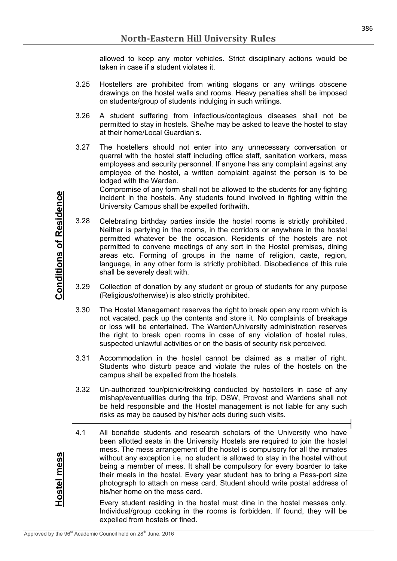allowed to keep any motor vehicles. Strict disciplinary actions would be taken in case if a student violates it.

- 3.25 Hostellers are prohibited from writing slogans or any writings obscene drawings on the hostel walls and rooms. Heavy penalties shall be imposed on students/group of students indulging in such writings.
- 3.26 A student suffering from infectious/contagious diseases shall not be permitted to stay in hostels. She/he may be asked to leave the hostel to stay at their home/Local Guardian's.
- 3.27 The hostellers should not enter into any unnecessary conversation or quarrel with the hostel staff including office staff, sanitation workers, mess employees and security personnel. If anyone has any complaint against any employee of the hostel, a written complaint against the person is to be lodged with the Warden.

Compromise of any form shall not be allowed to the students for any fighting incident in the hostels. Any students found involved in fighting within the University Campus shall be expelled forthwith.

- 3.28 Celebrating birthday parties inside the hostel rooms is strictly prohibited. Neither is partying in the rooms, in the corridors or anywhere in the hostel permitted whatever be the occasion. Residents of the hostels are not permitted to convene meetings of any sort in the Hostel premises, dining areas etc. Forming of groups in the name of religion, caste, region, language, in any other form is strictly prohibited. Disobedience of this rule shall be severely dealt with.
- 3.29 Collection of donation by any student or group of students for any purpose (Religious/otherwise) is also strictly prohibited.
- 3.30 The Hostel Management reserves the right to break open any room which is not vacated, pack up the contents and store it. No complaints of breakage or loss will be entertained. The Warden/University administration reserves the right to break open rooms in case of any violation of hostel rules, suspected unlawful activities or on the basis of security risk perceived.
- 3.31 Accommodation in the hostel cannot be claimed as a matter of right. Students who disturb peace and violate the rules of the hostels on the campus shall be expelled from the hostels.
- 3.32 Un-authorized tour/picnic/trekking conducted by hostellers in case of any mishap/eventualities during the trip, DSW, Provost and Wardens shall not be held responsible and the Hostel management is not liable for any such risks as may be caused by his/her acts during such visits.
- 4.1 All bonafide students and research scholars of the University who have been allotted seats in the University Hostels are required to join the hostel mess. The mess arrangement of the hostel is compulsory for all the inmates without any exception i.e, no student is allowed to stay in the hostel without being a member of mess. It shall be compulsory for every boarder to take their meals in the hostel. Every year student has to bring a Pass-port size photograph to attach on mess card. Student should write postal address of his/her home on the mess card.

Every student residing in the hostel must dine in the hostel messes only. Individual/group cooking in the rooms is forbidden. If found, they will be expelled from hostels or fined.

**Hostel mess**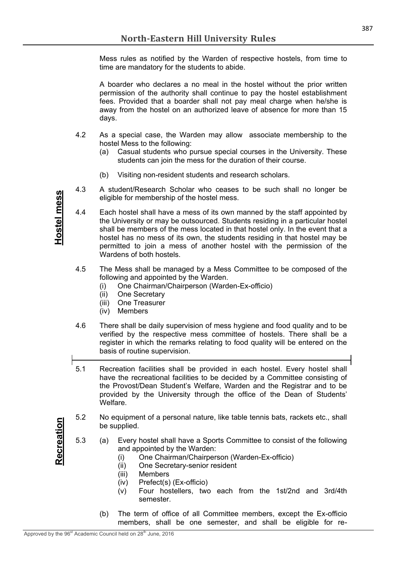Mess rules as notified by the Warden of respective hostels, from time to time are mandatory for the students to abide.

A boarder who declares a no meal in the hostel without the prior written permission of the authority shall continue to pay the hostel establishment fees. Provided that a boarder shall not pay meal charge when he/she is away from the hostel on an authorized leave of absence for more than 15 days.

- 4.2 As a special case, the Warden may allow associate membership to the hostel Mess to the following:
	- (a) Casual students who pursue special courses in the University. These students can join the mess for the duration of their course.
	- (b) Visiting non-resident students and research scholars.
- 4.3 A student/Research Scholar who ceases to be such shall no longer be eligible for membership of the hostel mess.
- 4.4 Each hostel shall have a mess of its own manned by the staff appointed by the University or may be outsourced. Students residing in a particular hostel shall be members of the mess located in that hostel only. In the event that a hostel has no mess of its own, the students residing in that hostel may be permitted to join a mess of another hostel with the permission of the Wardens of both hostels.
- 4.5 The Mess shall be managed by a Mess Committee to be composed of the following and appointed by the Warden.
	- (i) One Chairman/Chairperson (Warden-Ex-officio)
	- (ii) One Secretary
	- (iii) One Treasurer
	- (iv) Members
- 4.6 There shall be daily supervision of mess hygiene and food quality and to be verified by the respective mess committee of hostels. There shall be a register in which the remarks relating to food quality will be entered on the basis of routine supervision.
- 5.1 Recreation facilities shall be provided in each hostel. Every hostel shall have the recreational facilities to be decided by a Committee consisting of the Provost/Dean Student's Welfare, Warden and the Registrar and to be provided by the University through the office of the Dean of Students' Welfare.
- 5.2 No equipment of a personal nature, like table tennis bats, rackets etc., shall be supplied.
- 5.3 (a) Every hostel shall have a Sports Committee to consist of the following and appointed by the Warden:
	- (i) One Chairman/Chairperson (Warden-Ex-officio)
	- (ii) One Secretary-senior resident
	- (iii) Members
	- (iv) Prefect(s) (Ex-officio)
	- (v) Four hostellers, two each from the 1st/2nd and 3rd/4th semester.
	- (b) The term of office of all Committee members, except the Ex-officio members, shall be one semester, and shall be eligible for re-

**Recreation**